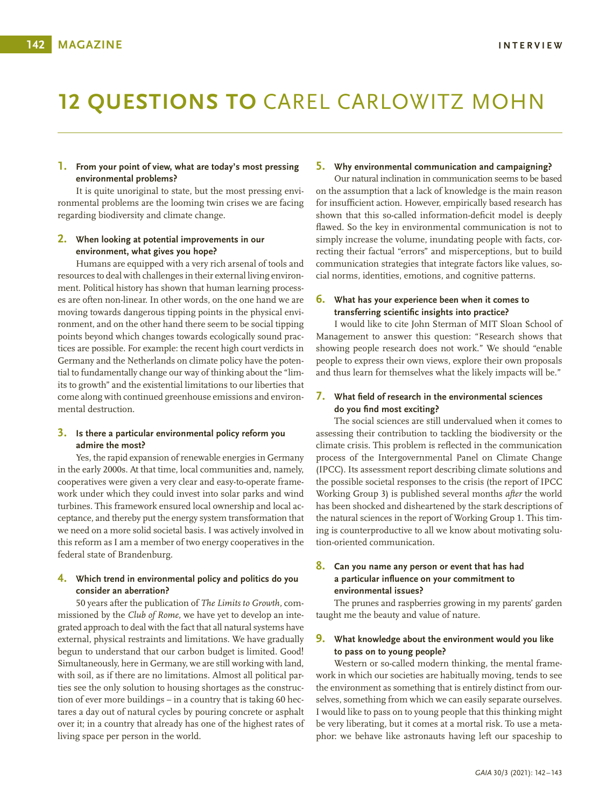# **12 QUESTIONS TO** CAREL CARLOWITZ MOHN

#### **1. From your point of view, what are today's most pressing environmental problems?**

It is quite unoriginal to state, but the most pressing environmental problems are the looming twin crises we are facing regarding biodiversity and climate change.

#### **2. When looking at potential improvements in our environment, what gives you hope?**

Humans are equipped with a very rich arsenal of tools and resources to deal with challenges in their external living environment. Political history has shown that human learning processes are often non-linear. In other words, on the one hand we are moving towards dangerous tipping points in the physical environment, and on the other hand there seem to be social tipping points beyond which changes towards ecologically sound practices are possible. For example: the recent high court verdicts in Germany and the Netherlands on climate policy have the potential to fundamentally change our way of thinking about the "limits to growth" and the existential limitations to our liberties that come along with continued greenhouse emissions and environmental destruction.

### **3. Is there a particular environmental policy reform you admire the most?**

Yes, the rapid expansion of renewable energies in Germany in the early 2000s. At that time, local communities and, namely, cooperatives were given a very clear and easy-to-operate framework under which they could invest into solar parks and wind turbines. This framework ensured local ownership and local acceptance, and thereby put the energy system transformation that we need on a more solid societal basis. I was actively involved in this reform as I am a member of two energy cooperatives in the federal state of Brandenburg.

### **4. Which trend in environmental policy and politics do you consider an aberration?**

50 years after the publication of *The Limits to Growth,* commissioned by the *Club of Rome,* we have yet to develop an integrated approach to deal with the fact that all natural systems have external, physical restraints and limitations. We have gradually begun to understand that our carbon budget is limited. Good! Simultaneously, here in Germany, we are still working with land, with soil, as if there are no limitations. Almost all political parties see the only solution to housing shortages as the construction of ever more buildings – in a country that is taking 60 hectares a day out of natural cycles by pouring concrete or asphalt over it; in a country that already has one of the highest rates of living space per person in the world.

## **5. Why environmental communication and campaigning?**

Our natural inclination in communication seems to be based on the assumption that a lack of knowledge is the main reason for insufficient action. However, empirically based research has shown that this so-called information-deficit model is deeply flawed. So the key in environmental communication is not to simply increase the volume, inundating people with facts, correcting their factual "errors" and misperceptions, but to build communication strategies that integrate factors like values, social norms, identities, emotions, and cognitive patterns.

## **6. What has your experience been when it comes to transferring scientific insights into practice?**

I would like to cite John Sterman of MIT Sloan School of Management to answer this question: "Research shows that showing people research does not work." We should "enable people to express their own views, explore their own proposals and thus learn for themselves what the likely impacts will be."

# **7. What field of research in the environmental sciences do you find most exciting?**

The social sciences are still undervalued when it comes to assessing their contribution to tackling the biodiversity or the climate crisis. This problem is reflected in the communication process of the Intergovernmental Panel on Climate Change (IPCC). Its assessment report describing climate solutions and the possible societal responses to the crisis (the report of IPCC Working Group 3) is published several months *after* the world has been shocked and disheartened by the stark descriptions of the natural sciences in the report of Working Group 1. This timing is counterproductive to all we know about motivating solution-oriented communication.

# **8. Can you name any person or event that has had a particular influence on your commitment to environmental issues?**

The prunes and raspberries growing in my parents' garden taught me the beauty and value of nature.

### **9. What knowledge about the environment would you like to pass on to young people?**

Western or so-called modern thinking, the mental framework in which our societies are habitually moving, tends to see the environment as something that is entirely distinct from ourselves, something from which we can easily separate ourselves. I would like to pass on to young people that this thinking might be very liberating, but it comes at a mortal risk. To use a metaphor: we behave like astronauts having left our spaceship to